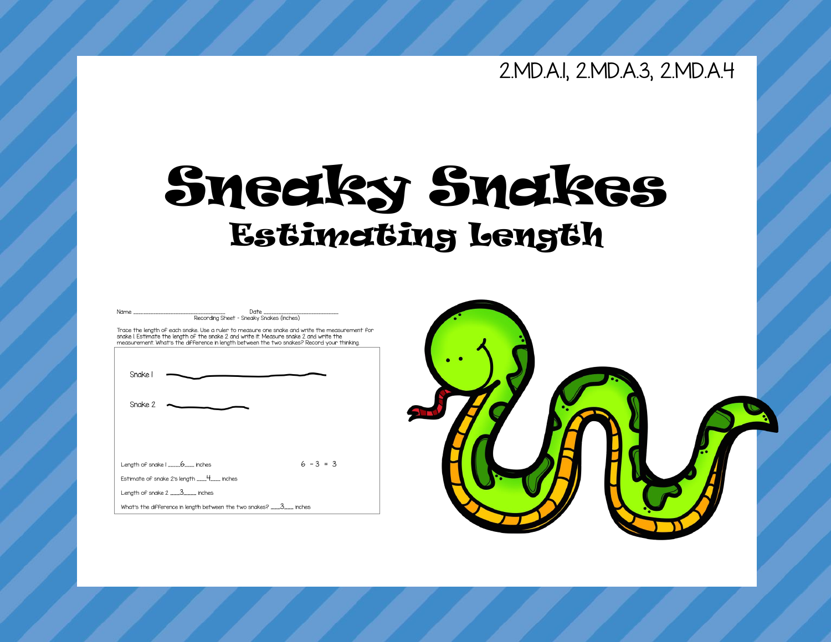### 2.MD.A.1, 2.MD.A.3, 2.MD.A.4

## Sneaky Snakes Estimating Length

| Recording Sheet - Sneaky Snakes (inches)                                                                                                                                                                                                                                              |             |
|---------------------------------------------------------------------------------------------------------------------------------------------------------------------------------------------------------------------------------------------------------------------------------------|-------------|
| Trace the length of each snake. Use a ruler to measure one snake and write the measurement f<br>snake I. Estimate the length of the snake 2 and write it. Measure snake 2 and write the<br>measurement. What's the difference in length between the two snakes? Record your thinking. |             |
|                                                                                                                                                                                                                                                                                       |             |
|                                                                                                                                                                                                                                                                                       |             |
| Snake I                                                                                                                                                                                                                                                                               |             |
|                                                                                                                                                                                                                                                                                       |             |
|                                                                                                                                                                                                                                                                                       |             |
| Snake 2                                                                                                                                                                                                                                                                               |             |
|                                                                                                                                                                                                                                                                                       |             |
|                                                                                                                                                                                                                                                                                       |             |
|                                                                                                                                                                                                                                                                                       |             |
|                                                                                                                                                                                                                                                                                       |             |
| Length of snake I ____6____ inches                                                                                                                                                                                                                                                    | $6 - 3 = 3$ |
| Estimate of snake 2's length ____4___ inches                                                                                                                                                                                                                                          |             |
| Length of snake $2$ $12$ $-2$ $-1$ inches                                                                                                                                                                                                                                             |             |
| What's the difference in length between the two snakes? ___3___ inches                                                                                                                                                                                                                |             |

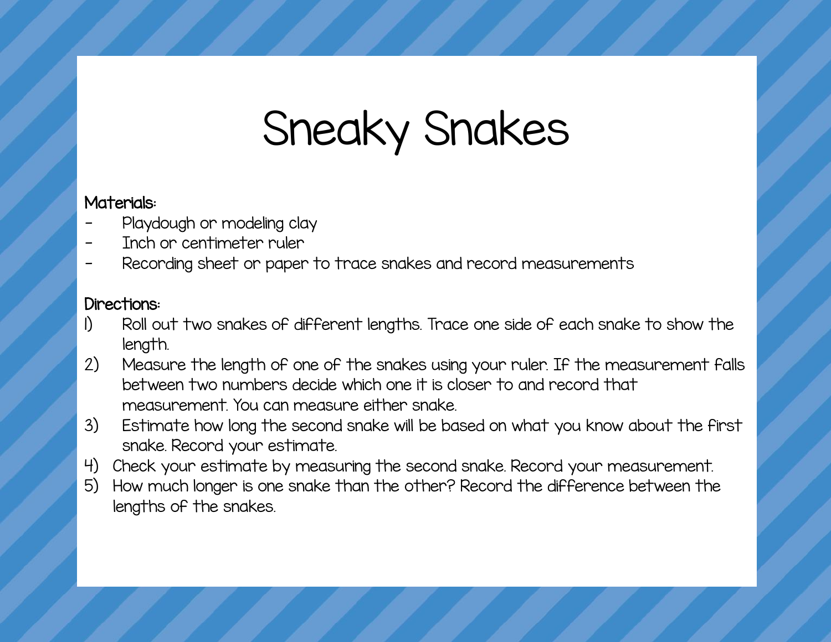# Sneaky Snakes

#### Materials:

- Playdough or modeling clay
- Inch or centimeter ruler
- Recording sheet or paper to trace snakes and record measurements

#### Directions:

- 1) Roll out two snakes of different lengths. Trace one side of each snake to show the length.
- 2) Measure the length of one of the snakes using your ruler. If the measurement falls between two numbers decide which one it is closer to and record that measurement. You can measure either snake.
- 3) Estimate how long the second snake will be based on what you know about the first snake. Record your estimate.
- 4) Check your estimate by measuring the second snake. Record your measurement.
- 5) How much longer is one snake than the other? Record the difference between the lengths of the snakes.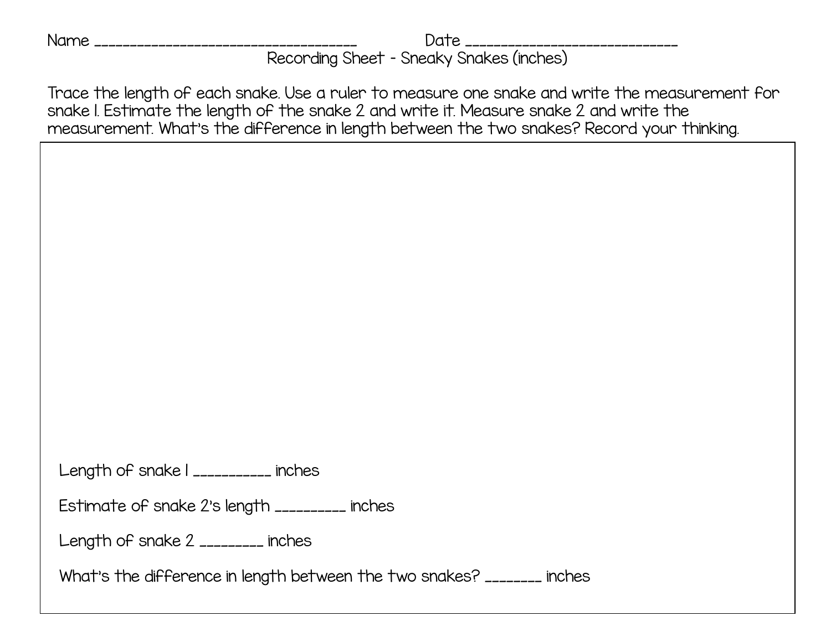Name \_\_\_\_\_\_\_\_\_\_\_\_\_\_\_\_\_\_\_\_\_\_\_\_\_\_\_\_\_\_\_\_\_\_\_\_\_ Date \_\_\_\_\_\_\_\_\_\_\_\_\_\_\_\_\_\_\_\_\_\_\_\_\_\_\_\_\_\_

Recording Sheet – Sneaky Snakes (inches)

Trace the length of each snake. Use a ruler to measure one snake and write the measurement for snake 1. Estimate the length of the snake 2 and write it. Measure snake 2 and write the measurement. What's the difference in length between the two snakes? Record your thinking.

Length of snake | \_\_\_\_\_\_\_\_\_\_\_ inches

Estimate of snake 2's length \_\_\_\_\_\_\_\_\_\_ inches

Length of snake 2 \_\_\_\_\_\_\_\_\_ inches

What's the difference in length between the two snakes? \_\_\_\_\_\_\_\_ inches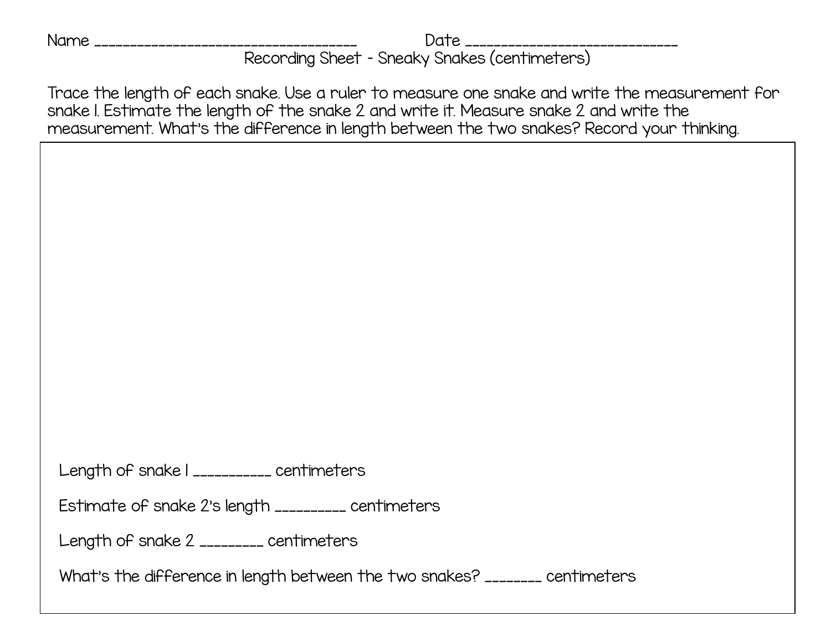Name \_\_\_\_\_\_\_\_\_\_\_\_\_\_\_\_\_\_\_\_\_\_\_\_\_\_\_\_\_\_\_\_\_\_\_\_\_ Date \_\_\_\_\_\_\_\_\_\_\_\_\_\_\_\_\_\_\_\_\_\_\_\_\_\_\_\_\_\_ Recording Sheet – Sneaky Snakes (centimeters)

Trace the length of each snake. Use a ruler to measure one snake and write the measurement for snake 1. Estimate the length of the snake 2 and write it. Measure snake 2 and write the measurement. What's the difference in length between the two snakes? Record your thinking.

Length of snake | \_\_\_\_\_\_\_\_\_\_ centimeters

Estimate of snake 2's length \_\_\_\_\_\_\_\_\_\_ centimeters

Length of snake 2 \_\_\_\_\_\_\_\_\_ centimeters

What's the difference in length between the two snakes? \_\_\_\_\_\_\_\_ centimeters